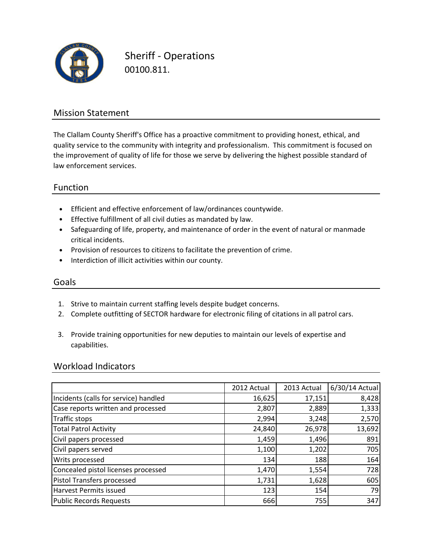

Sheriff - Operations 00100.811.

## Mission Statement

The Clallam County Sheriff's Office has a proactive commitment to providing honest, ethical, and quality service to the community with integrity and professionalism. This commitment is focused on the improvement of quality of life for those we serve by delivering the highest possible standard of law enforcement services.

## Function

- Efficient and effective enforcement of law/ordinances countywide.
- Effective fulfillment of all civil duties as mandated by law.
- Safeguarding of life, property, and maintenance of order in the event of natural or manmade critical incidents.
- Provision of resources to citizens to facilitate the prevention of crime.
- Interdiction of illicit activities within our county.

### Goals

- 1. Strive to maintain current staffing levels despite budget concerns.
- 2. Complete outfitting of SECTOR hardware for electronic filing of citations in all patrol cars.
- 3. Provide training opportunities for new deputies to maintain our levels of expertise and capabilities.

### Workload Indicators

|                                       | 2012 Actual | 2013 Actual | 6/30/14 Actual |
|---------------------------------------|-------------|-------------|----------------|
| Incidents (calls for service) handled | 16,625      | 17,151      | 8,428          |
| Case reports written and processed    | 2,807       | 2,889       | 1,333          |
| Traffic stops                         | 2,994       | 3,248       | 2,570          |
| <b>Total Patrol Activity</b>          | 24,840      | 26,978      | 13,692         |
| Civil papers processed                | 1,459       | 1,496       | 891            |
| Civil papers served                   | 1,100       | 1,202       | 705            |
| Writs processed                       | 134         | 188         | 164            |
| Concealed pistol licenses processed   | 1,470       | 1,554       | 728            |
| <b>Pistol Transfers processed</b>     | 1,731       | 1,628       | 605            |
| Harvest Permits issued                | 123         | 154         | 79             |
| <b>Public Records Requests</b>        | 666         | 755         | 347            |